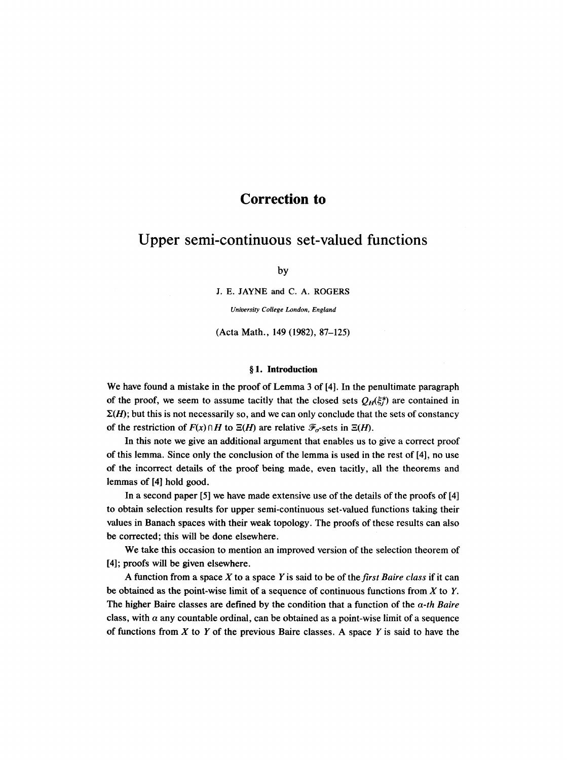## **Correction to**

# **Upper semi-continuous set-valued functions**

by

**J. E. JAYNE and C. A. ROGERS** 

*University College London, England* 

(Acta Math., 149 (1982), 87-125)

#### **w 1. Introduction**

We have found a mistake in the proof of Lemma 3 of [4]. In the penultimate paragraph of the proof, we seem to assume tacitly that the closed sets  $Q_H(\xi_i^*)$  are contained in  $\Sigma(H)$ ; but this is not necessarily so, and we can only conclude that the sets of constancy of the restriction of  $F(x) \cap H$  to  $\Xi(H)$  are relative  $\mathcal{F}_{\sigma}$ -sets in  $\Xi(H)$ .

In this note we give an additional argument that enables us to give a correct proof of this lemma. Since only the conclusion of the lemma is used in the rest of [4], no use of the incorrect details of the proof being made, even tacitly, all the theorems and lemmas of [4] hold good.

In a second paper [5] we have made extensive use of the details of the proofs of [4] to obtain selection results for upper semi-continuous set-valued functions taking their values in Banach spaces with their weak topology. The proofs of these results can also be corrected; this will be done elsewhere.

We take this occasion to mention an improved version of the selection theorem of [4]; proofs will be given elsewhere.

A function from a space X to a space Y is said to be of *thefirst Baire class* if it can be obtained as the point-wise limit of a sequence of continuous functions from  $X$  to  $Y$ . The higher Baire classes are defined by the condition that a function of the *a-th Baire*  class, with  $\alpha$  any countable ordinal, can be obtained as a point-wise limit of a sequence of functions from  $X$  to  $Y$  of the previous Baire classes. A space  $Y$  is said to have the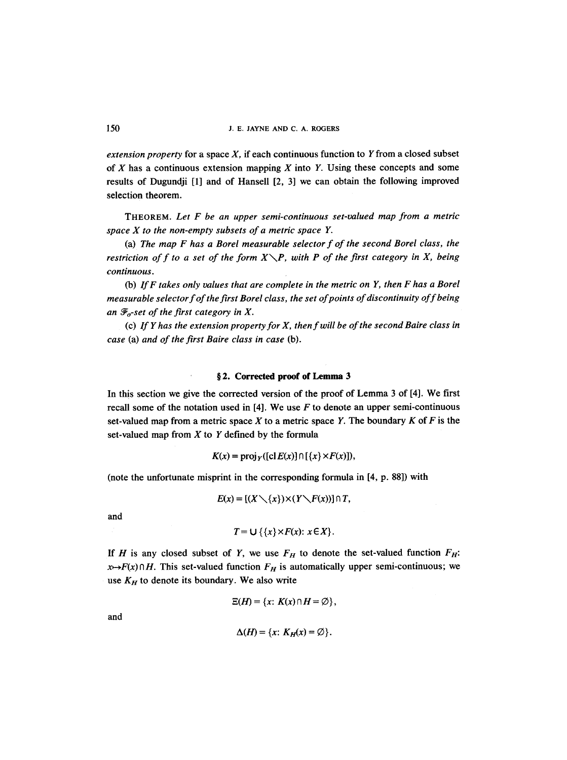*extension property* for a space *X, if* each continuous function to Y from a closed subset of  $X$  has a continuous extension mapping  $X$  into  $Y$ . Using these concepts and some results of Dugundji [1] and of Hansell [2, 3] we can obtain the following improved selection theorem.

THEOREM. *Let F be an upper semi-continuous set-valued map from a metric space X to the non-empty subsets of a metric space Y.* 

(a) *The map F has a Borel measurable selector f of the second Borel class, the restriction of f to a set of the form*  $X\setminus P$ *, with P of the first category in X, being continuous.* 

(b) *If F takes only values that are complete in the metric on Y, then F has a Borel measurable selector f of the first Borel class, the set of points of discontinuity off being*  an  $\mathcal{F}_{\sigma}$ -set of the first category in X.

(c) *If Y has the extension property for X, then f will be of the second Baire class in case* (a) *and of the first Baire class in case* (b).

### **w 2. Corrected proof of Lemma 3**

 $\ddot{\phantom{0}}$ 

In this section we give the corrected version of the proof of Lemma 3 of [4]. We first recall some of the notation used in  $[4]$ . We use F to denote an upper semi-continuous set-valued map from a metric space X to a metric space Y. The boundary K of F is the set-valued map from  $X$  to  $Y$  defined by the formula

$$
K(x) = \text{proj}_Y([\text{cl }E(x)] \cap [\{x\} \times F(x)]),
$$

(note the unfortunate misprint in the corresponding formula in [4, p. 88]) with

$$
E(x) = [(X \setminus \{x\}) \times (Y \setminus F(x))] \cap T,
$$

and

$$
T = \bigcup \{\{x\} \times F(x): x \in X\}.
$$

If H is any closed subset of Y, we use  $F_H$  to denote the set-valued function  $F_H$ :  $x \mapsto F(x) \cap H$ . This set-valued function  $F_H$  is automatically upper semi-continuous; we use  $K_H$  to denote its boundary. We also write

$$
\Xi(H)=\{x\colon K(x)\cap H=\emptyset\},\
$$

and

$$
\Delta(H) = \{x: K_H(x) = \emptyset\}.
$$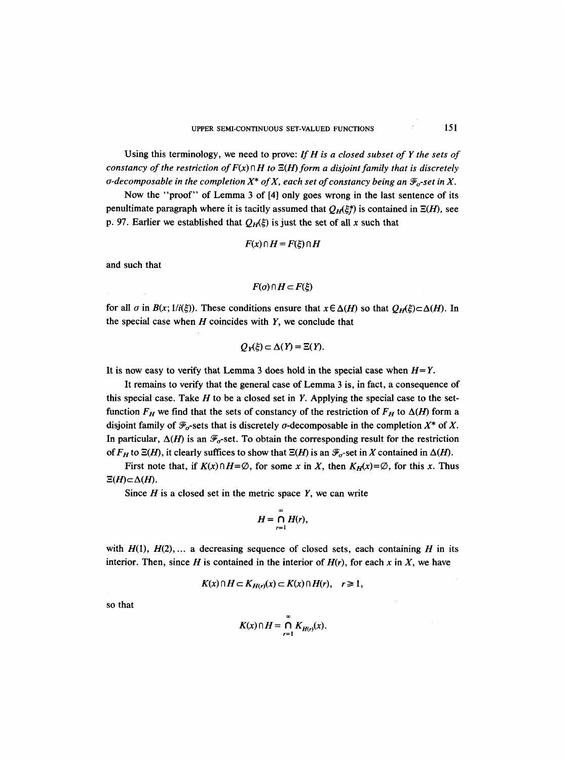Using this terminology, we need to prove: *If H is a closed subset of Y the sets of constancy of the restriction of*  $F(x) \cap H$  to  $\Xi(H)$  form a disjoint family that is discretely  $\sigma$ -decomposable in the completion  $X^*$  of X, each set of constancy being an  $\mathcal{F}_\sigma$ -set in X.

Now the "proof" of Lemma 3 of [4] only goes wrong in the last sentence of its penultimate paragraph where it is tacitly assumed that  $Q_H(\xi_i^*)$  is contained in  $\Xi(H)$ , see p. 97. Earlier we established that  $Q_H(\xi)$  is just the set of all x such that

$$
F(x) \cap H = F(\xi) \cap H
$$

and such that

$$
F(\sigma) \cap H \subset F(\xi)
$$

for all  $\sigma$  in  $B(x; 1/i(\xi))$ . These conditions ensure that  $x \in \Delta(H)$  so that  $O_H(\xi) \subset \Delta(H)$ . In the special case when  $H$  coincides with  $Y$ , we conclude that

$$
Q_Y(\xi) \subset \Delta(Y) = \Xi(Y).
$$

It is now easy to verify that Lemma 3 does hold in the special case when  $H = Y$ .

It remains to verify that the general case of Lemma 3 is, in fact, a consequence of this special case. Take  $H$  to be a closed set in  $Y$ . Applying the special case to the setfunction  $F_H$  we find that the sets of constancy of the restriction of  $F_H$  to  $\Delta(H)$  form a disjoint family of  $\mathcal{F}_{\sigma}$ -sets that is discretely  $\sigma$ -decomposable in the completion  $X^*$  of X. In particular,  $\Delta(H)$  is an  $\mathcal{F}_{\sigma}$ -set. To obtain the corresponding result for the restriction of  $F_H$  to  $\Xi(H)$ , it clearly suffices to show that  $\Xi(H)$  is an  $\mathcal{F}_{\sigma}$ -set in X contained in  $\Delta(H)$ .

First note that, if  $K(x) \cap H = \emptyset$ , for some x in X, then  $K_H(x) = \emptyset$ , for this x. Thus  $\Xi(H)\subset \Delta(H)$ .

Since  $H$  is a closed set in the metric space  $Y$ , we can write

$$
H=\bigcap_{r=1}^{\infty}H(r),
$$

with  $H(1)$ ,  $H(2)$ ,... a decreasing sequence of closed sets, each containing H in its interior. Then, since H is contained in the interior of  $H(r)$ , for each x in X, we have

$$
K(x) \cap H \subset K_{H(r)}(x) \subset K(x) \cap H(r), \quad r \geq 1,
$$

so that

$$
K(x) \cap H = \bigcap_{r=1}^{\infty} K_{H(r)}(x).
$$